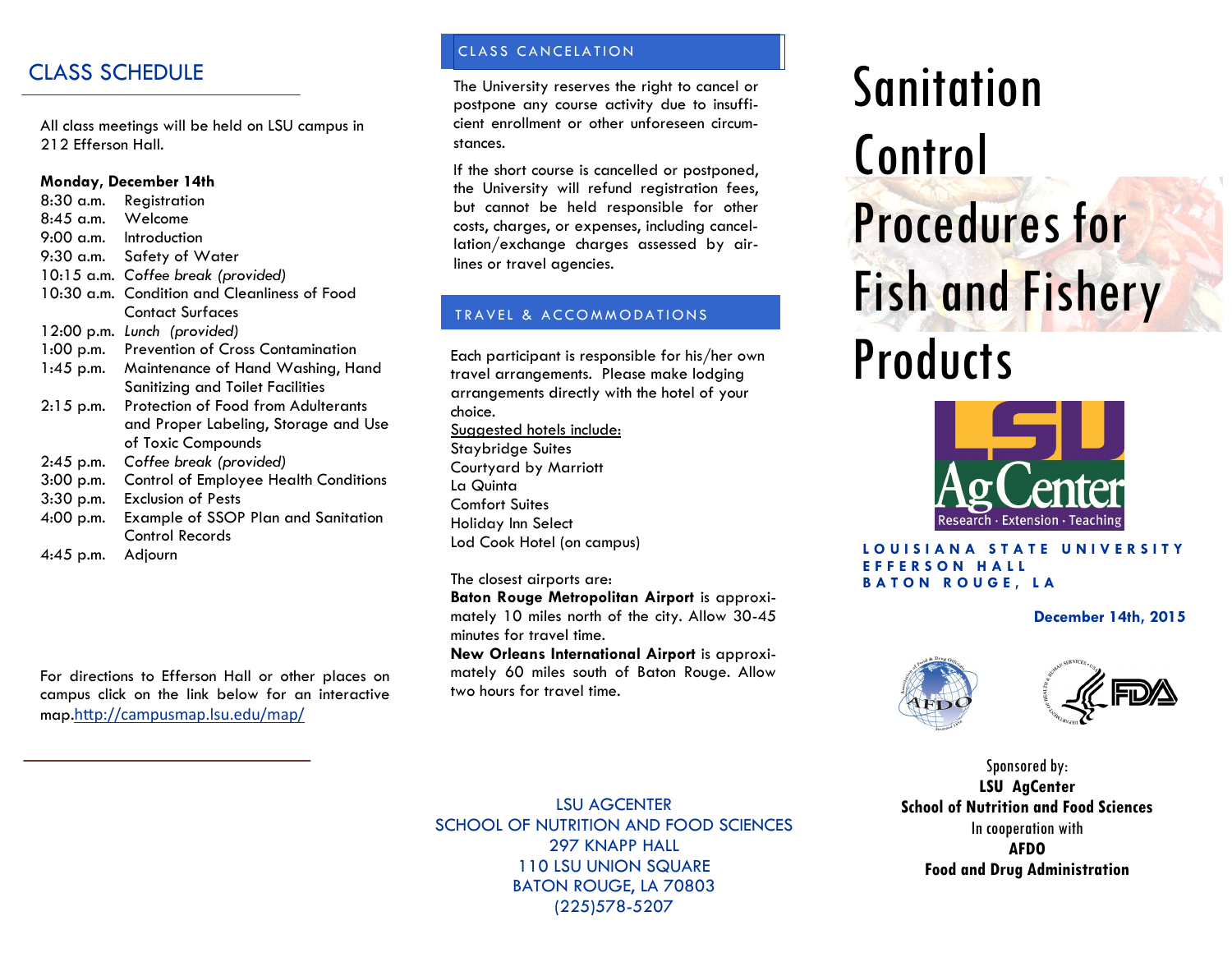# CLASS SCHEDULE

All class meetings will be held on LSU campus in 212 Efferson Hall.

#### **Monday, December 14th**

|                   | 8:30 a.m. Registration                       |
|-------------------|----------------------------------------------|
| 8:45 a.m. Welcome |                                              |
|                   | 9:00 a.m. Introduction                       |
|                   | 9:30 a.m. Safety of Water                    |
|                   | 10:15 a.m. Coffee break (provided)           |
|                   | 10:30 a.m. Condition and Cleanliness of Food |
|                   | <b>Contact Surfaces</b>                      |
|                   | 12:00 p.m. Lunch (provided)                  |
|                   | 1:00 p.m. Prevention of Cross Contamination  |
|                   | 1:45 p.m. Maintenance of Hand Washing, Hand  |
|                   | Sanitizing and Toilet Facilities             |
| $2:15$ p.m.       | Protection of Food from Adulterants          |
|                   | and Proper Labeling, Storage and Use         |
|                   | of Toxic Compounds                           |
| $2:45$ p.m.       | Coffee break (provided)                      |
| $3:00$ p.m.       | <b>Control of Employee Health Conditions</b> |
| 3:30 p.m.         | <b>Exclusion of Pests</b>                    |
| 4:00 p.m.         | <b>Example of SSOP Plan and Sanitation</b>   |
|                   | Control Records                              |
| 4:45 p.m.         | Adiourn                                      |

For directions to Efferson Hall or other places on campus click on the link below for an interactive map.<http://campusmap.lsu.edu/map/>

#### CLASS CANCELATION

The University reserves the right to cancel or postpone any course activity due to insufficient enrollment or other unforeseen circumstances.

If the short course is cancelled or postponed, the University will refund registration fees, but cannot be held responsible for other costs, charges, or expenses, including cancellation/exchange charges assessed by airlines or travel agencies.

#### TRAVEL & ACCOMMODATIONS

Each participant is responsible for his/her own travel arrangements. Please make lodging arrangements directly with the hotel of your choice.

Suggested hotels include:

- Staybridge Suites
- Courtyard by Marriott
- La Quinta
- Comfort Suites
- 
- Holiday Inn Select

Lod Cook Hotel (on campus)

The closest airports are:

**Baton Rouge Metropolitan Airport** is approximately 10 miles north of the city. Allow 30-45 minutes for travel time.

**New Orleans International Airport** is approximately 60 miles south of Baton Rouge. Allow two hours for travel time.

# Sanitation Control

# Procedures for Fish and Fishery

# **Products**



#### **L O U I S I A N A S T A T E U N I V E R S I T Y E F F E R S O N H A L L B A T O N R O U G E , L A**

**December 14th, 2015**



Sponsored by: **LSU AgCenter School of Nutrition and Food Sciences** In cooperation with **AFDO Food and Drug Administration**

LSU AGCENTER SCHOOL OF NUTRITION AND FOOD SCIENCES 297 KNAPP HALL 110 LSU UNION SQUARE BATON ROUGE, LA 70803 (225)578-5207